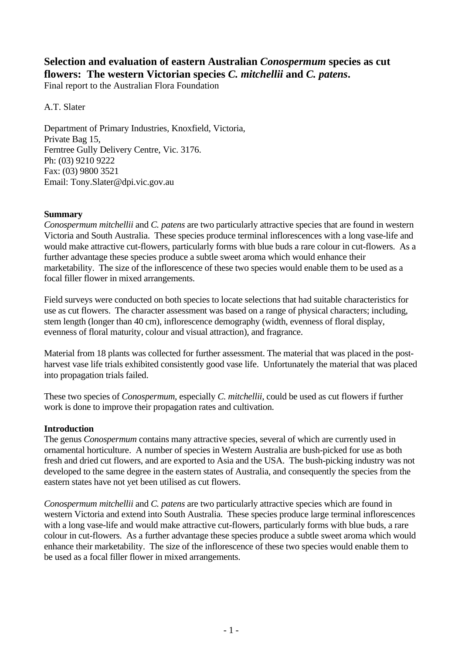# **Selection and evaluation of eastern Australian** *Conospermum* **species as cut flowers: The western Victorian species** *C. mitchellii* **and** *C. patens***.**

Final report to the Australian Flora Foundation

A.T. Slater

Department of Primary Industries, Knoxfield, Victoria, Private Bag 15, Ferntree Gully Delivery Centre, Vic. 3176. Ph: (03) 9210 9222 Fax: (03) 9800 3521 Email: Tony.Slater@dpi.vic.gov.au

#### **Summary**

*Conospermum mitchellii* and *C. patens* are two particularly attractive species that are found in western Victoria and South Australia. These species produce terminal inflorescences with a long vase-life and would make attractive cut-flowers, particularly forms with blue buds a rare colour in cut-flowers. As a further advantage these species produce a subtle sweet aroma which would enhance their marketability. The size of the inflorescence of these two species would enable them to be used as a focal filler flower in mixed arrangements.

Field surveys were conducted on both species to locate selections that had suitable characteristics for use as cut flowers. The character assessment was based on a range of physical characters; including, stem length (longer than 40 cm), inflorescence demography (width, evenness of floral display, evenness of floral maturity, colour and visual attraction), and fragrance.

Material from 18 plants was collected for further assessment. The material that was placed in the postharvest vase life trials exhibited consistently good vase life. Unfortunately the material that was placed into propagation trials failed.

These two species of *Conospermum*, especially *C. mitchellii*, could be used as cut flowers if further work is done to improve their propagation rates and cultivation.

## **Introduction**

The genus *Conospermum* contains many attractive species, several of which are currently used in ornamental horticulture. A number of species in Western Australia are bush-picked for use as both fresh and dried cut flowers, and are exported to Asia and the USA. The bush-picking industry was not developed to the same degree in the eastern states of Australia, and consequently the species from the eastern states have not yet been utilised as cut flowers.

*Conospermum mitchellii* and *C. patens* are two particularly attractive species which are found in western Victoria and extend into South Australia. These species produce large terminal inflorescences with a long vase-life and would make attractive cut-flowers, particularly forms with blue buds, a rare colour in cut-flowers. As a further advantage these species produce a subtle sweet aroma which would enhance their marketability. The size of the inflorescence of these two species would enable them to be used as a focal filler flower in mixed arrangements.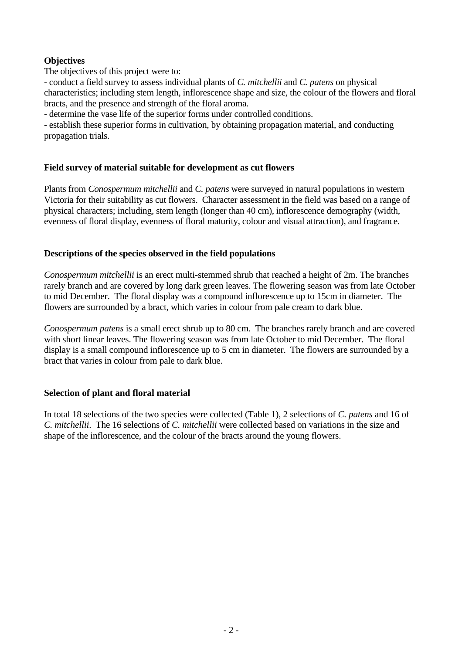# **Objectives**

The objectives of this project were to:

- conduct a field survey to assess individual plants of *C. mitchellii* and *C. patens* on physical characteristics; including stem length, inflorescence shape and size, the colour of the flowers and floral bracts, and the presence and strength of the floral aroma.

- determine the vase life of the superior forms under controlled conditions.

- establish these superior forms in cultivation, by obtaining propagation material, and conducting propagation trials.

## **Field survey of material suitable for development as cut flowers**

Plants from *Conospermum mitchellii* and *C. patens* were surveyed in natural populations in western Victoria for their suitability as cut flowers. Character assessment in the field was based on a range of physical characters; including, stem length (longer than 40 cm), inflorescence demography (width, evenness of floral display, evenness of floral maturity, colour and visual attraction), and fragrance.

## **Descriptions of the species observed in the field populations**

*Conospermum mitchellii* is an erect multi-stemmed shrub that reached a height of 2m. The branches rarely branch and are covered by long dark green leaves. The flowering season was from late October to mid December. The floral display was a compound inflorescence up to 15cm in diameter. The flowers are surrounded by a bract, which varies in colour from pale cream to dark blue.

*Conospermum patens* is a small erect shrub up to 80 cm. The branches rarely branch and are covered with short linear leaves. The flowering season was from late October to mid December. The floral display is a small compound inflorescence up to 5 cm in diameter. The flowers are surrounded by a bract that varies in colour from pale to dark blue.

## **Selection of plant and floral material**

In total 18 selections of the two species were collected (Table 1), 2 selections of *C. patens* and 16 of *C. mitchellii*. The 16 selections of *C. mitchellii* were collected based on variations in the size and shape of the inflorescence, and the colour of the bracts around the young flowers.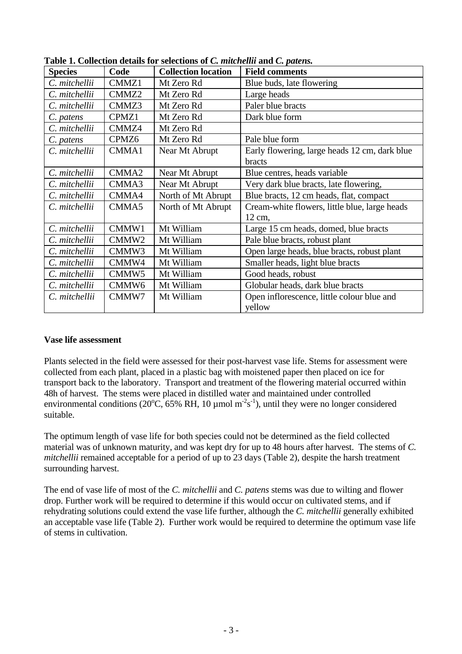| <b>Species</b> | Code              | <b>Collection location</b> | <b>Field comments</b>                                          |  |
|----------------|-------------------|----------------------------|----------------------------------------------------------------|--|
| C. mitchellii  | CMMZ1             | Mt Zero Rd                 | Blue buds, late flowering                                      |  |
| C. mitchellii  | CMMZ2             | Mt Zero Rd                 | Large heads                                                    |  |
| C. mitchellii  | CMMZ3             | Mt Zero Rd                 | Paler blue bracts                                              |  |
| C. patens      | CPMZ1             | Mt Zero Rd                 | Dark blue form                                                 |  |
| C. mitchellii  | CMMZ4             | Mt Zero Rd                 |                                                                |  |
| C. patens      | CPMZ <sub>6</sub> | Mt Zero Rd                 | Pale blue form                                                 |  |
| C. mitchellii  | CMMA1             | Near Mt Abrupt             | Early flowering, large heads 12 cm, dark blue<br><b>bracts</b> |  |
| C. mitchellii  | CMMA <sub>2</sub> | Near Mt Abrupt             | Blue centres, heads variable                                   |  |
| C. mitchellii  | CMMA3             | Near Mt Abrupt             | Very dark blue bracts, late flowering,                         |  |
| C. mitchellii  | CMMA4             | North of Mt Abrupt         | Blue bracts, 12 cm heads, flat, compact                        |  |
| C. mitchellii  | CMMA5             | North of Mt Abrupt         | Cream-white flowers, little blue, large heads<br>12 cm,        |  |
| C. mitchellii  | CMMW1             | Mt William                 | Large 15 cm heads, domed, blue bracts                          |  |
| C. mitchellii  | CMMW <sub>2</sub> | Mt William                 | Pale blue bracts, robust plant                                 |  |
| C. mitchellii  | CMMW3             | Mt William                 | Open large heads, blue bracts, robust plant                    |  |
| C. mitchellii  | CMMW4             | Mt William                 | Smaller heads, light blue bracts                               |  |
| C. mitchellii  | CMMW <sub>5</sub> | Mt William                 | Good heads, robust                                             |  |
| C. mitchellii  | CMMW <sub>6</sub> | Mt William                 | Globular heads, dark blue bracts                               |  |
| C. mitchellii  | CMMW7             | Mt William                 | Open inflorescence, little colour blue and<br>yellow           |  |

**Table 1. Collection details for selections of** *C. mitchellii* **and** *C. patens.*

## **Vase life assessment**

Plants selected in the field were assessed for their post-harvest vase life. Stems for assessment were collected from each plant, placed in a plastic bag with moistened paper then placed on ice for transport back to the laboratory. Transport and treatment of the flowering material occurred within 48h of harvest. The stems were placed in distilled water and maintained under controlled environmental conditions (20 $^{\circ}$ C, 65% RH, 10 µmol m<sup>-2</sup>s<sup>-1</sup>), until they were no longer considered suitable.

The optimum length of vase life for both species could not be determined as the field collected material was of unknown maturity, and was kept dry for up to 48 hours after harvest. The stems of *C. mitchellii* remained acceptable for a period of up to 23 days (Table 2), despite the harsh treatment surrounding harvest.

The end of vase life of most of the *C. mitchellii* and *C. patens* stems was due to wilting and flower drop. Further work will be required to determine if this would occur on cultivated stems, and if rehydrating solutions could extend the vase life further, although the *C. mitchellii* generally exhibited an acceptable vase life (Table 2). Further work would be required to determine the optimum vase life of stems in cultivation.